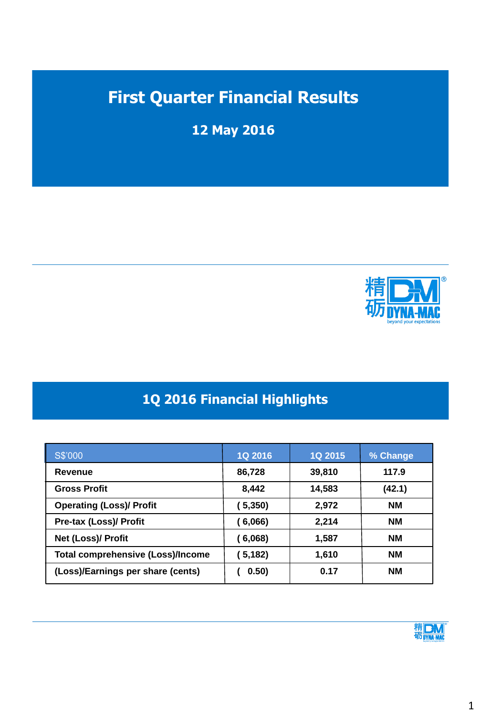# **First Quarter Financial Results**

**12 May 2016**



### **1Q 2016 Financial Highlights**

| S\$'000                                  | <b>1Q 2016</b> | <b>1Q 2015</b> | % Change  |
|------------------------------------------|----------------|----------------|-----------|
| Revenue                                  | 86,728         | 39,810         | 117.9     |
| <b>Gross Profit</b>                      | 8,442          | 14,583         | (42.1)    |
| <b>Operating (Loss)/ Profit</b>          | 5,350)         | 2,972          | <b>NM</b> |
| <b>Pre-tax (Loss)/ Profit</b>            | 6,066)         | 2,214          | <b>NM</b> |
| Net (Loss)/ Profit                       | 6,068)         | 1,587          | <b>NM</b> |
| <b>Total comprehensive (Loss)/Income</b> | 5,182)         | 1,610          | <b>NM</b> |
| (Loss)/Earnings per share (cents)        | 0.50)          | 0.17           | <b>NM</b> |

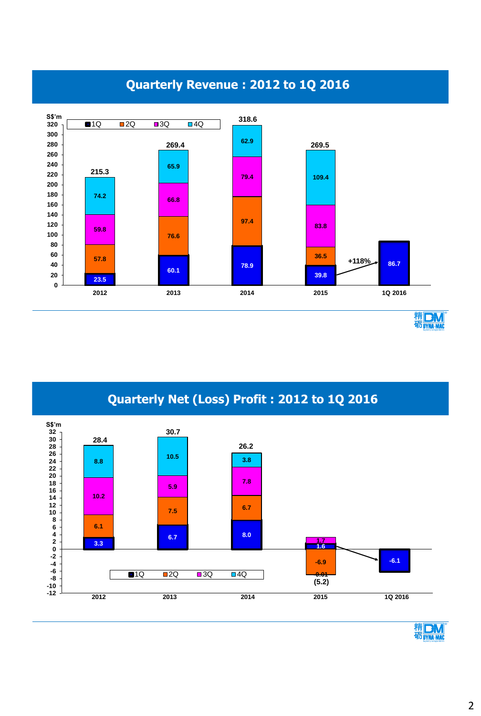





**Quarterly Net (Loss) Profit : 2012 to 1Q 2016**



2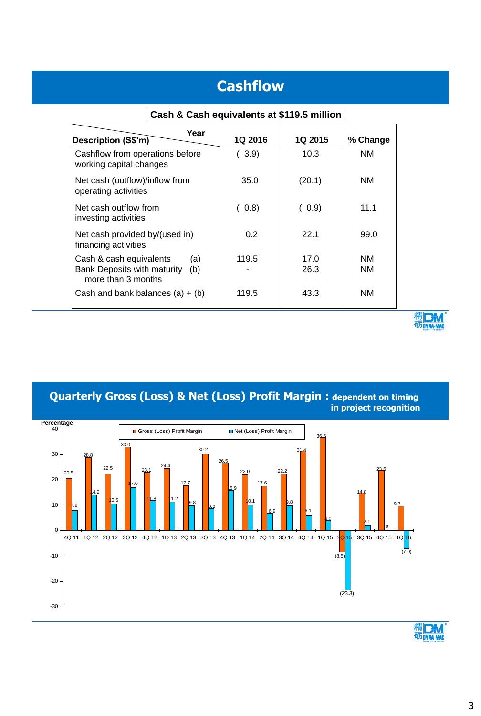## **Cashflow**

| Year<br>Description (S\$'m)                                                                | <b>1Q 2016</b> | <b>1Q 2015</b> | % Change |
|--------------------------------------------------------------------------------------------|----------------|----------------|----------|
| Cashflow from operations before<br>working capital changes                                 | (3.9)          | 10.3           | ΝM       |
| Net cash (outflow)/inflow from<br>operating activities                                     | 35.0           | (20.1)         | ΝM       |
| Net cash outflow from<br>investing activities                                              | (0.8)          | (0.9)          | 11.1     |
| Net cash provided by/(used in)<br>financing activities                                     | $0.2^{\circ}$  | 221            | 99.0     |
| Cash & cash equivalents<br>(a)<br>Bank Deposits with maturity<br>(b)<br>more than 3 months | 119.5          | 17.0<br>26.3   | ΝM<br>ΝM |
| Cash and bank balances $(a) + (b)$                                                         | 119.5          | 43.3           | ΝM       |

#### **Cash & Cash equivalents at \$119.5 million**



**Quarterly Gross (Loss) & Net (Loss) Profit Margin : dependent on timing in project recognition**



精DM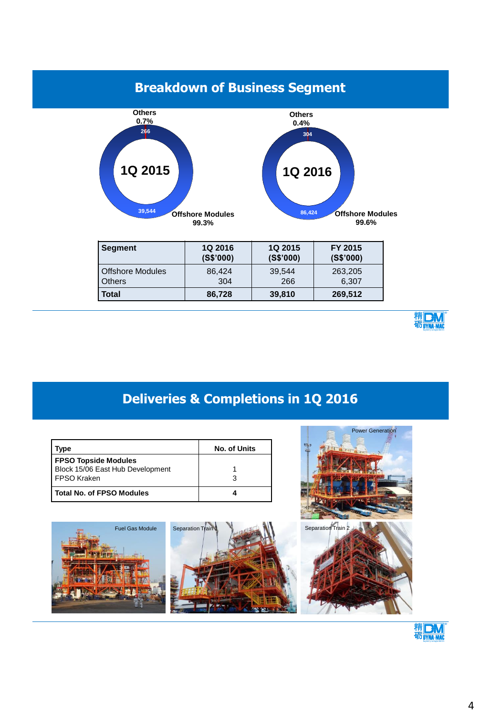### **Breakdown of Business Segment**



| l Segment          | <b>1Q 2016</b> | 1Q 2015   | FY 2015   |
|--------------------|----------------|-----------|-----------|
|                    | (S\$'000)      | (S\$'000) | (S\$'000) |
| l Offshore Modules | 86.424         | 39.544    | 263,205   |
| l Others           | 304            | 266       | 6.307     |
|                    |                |           |           |
| Total              | 86,728         | 39,810    | 269,512   |



Power Generation

### **Deliveries & Completions in 1Q 2016**

| vpe                              | <b>No. of Units</b> |
|----------------------------------|---------------------|
| <b>FPSO Topside Modules</b>      |                     |
| Block 15/06 East Hub Development |                     |
| I FPSO Kraken                    |                     |
| Total No. of FPSO Modules        |                     |



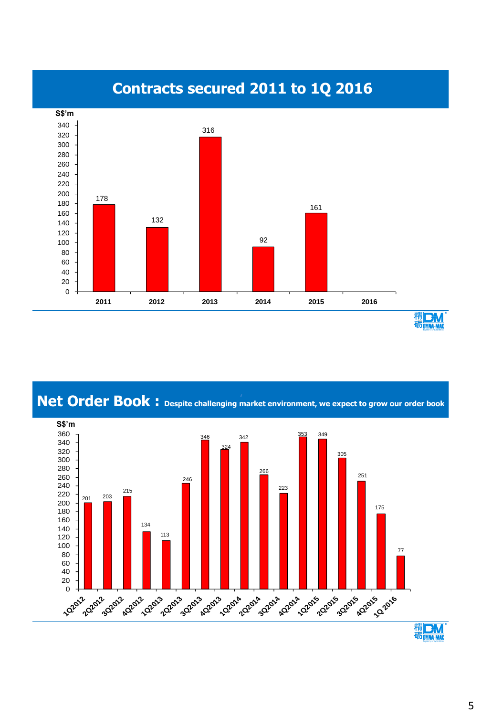

Net Order Book: Despite challenging market environment, we expect to grow our order book

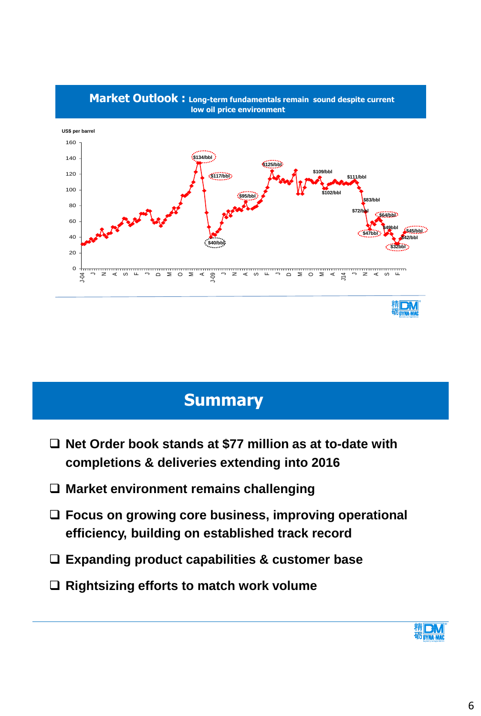

# **Summary**

- **Net Order book stands at \$77 million as at to-date with completions & deliveries extending into 2016**
- **Market environment remains challenging**
- **Focus on growing core business, improving operational efficiency, building on established track record**
- **Expanding product capabilities & customer base**
- **Rightsizing efforts to match work volume**